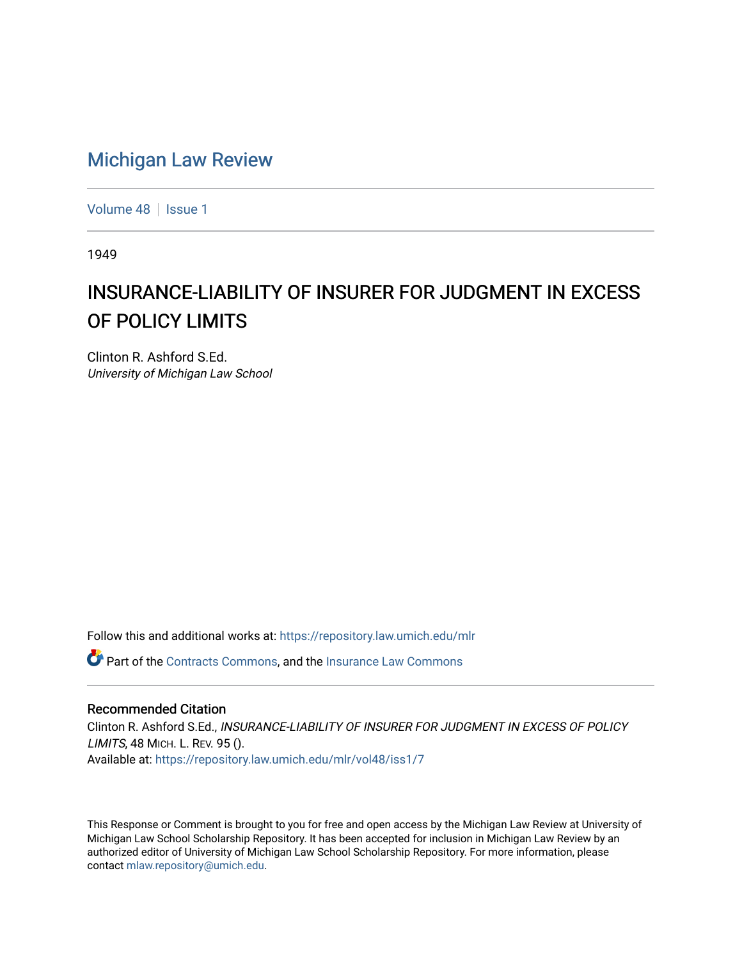# [Michigan Law Review](https://repository.law.umich.edu/mlr)

[Volume 48](https://repository.law.umich.edu/mlr/vol48) | [Issue 1](https://repository.law.umich.edu/mlr/vol48/iss1)

1949

# INSURANCE-LIABILITY OF INSURER FOR JUDGMENT IN EXCESS OF POLICY LIMITS

Clinton R. Ashford S.Ed. University of Michigan Law School

Follow this and additional works at: [https://repository.law.umich.edu/mlr](https://repository.law.umich.edu/mlr?utm_source=repository.law.umich.edu%2Fmlr%2Fvol48%2Fiss1%2F7&utm_medium=PDF&utm_campaign=PDFCoverPages) 

Part of the [Contracts Commons](http://network.bepress.com/hgg/discipline/591?utm_source=repository.law.umich.edu%2Fmlr%2Fvol48%2Fiss1%2F7&utm_medium=PDF&utm_campaign=PDFCoverPages), and the [Insurance Law Commons](http://network.bepress.com/hgg/discipline/607?utm_source=repository.law.umich.edu%2Fmlr%2Fvol48%2Fiss1%2F7&utm_medium=PDF&utm_campaign=PDFCoverPages)

#### Recommended Citation

Clinton R. Ashford S.Ed., INSURANCE-LIABILITY OF INSURER FOR JUDGMENT IN EXCESS OF POLICY LIMITS, 48 MICH. L. REV. 95 (). Available at: [https://repository.law.umich.edu/mlr/vol48/iss1/7](https://repository.law.umich.edu/mlr/vol48/iss1/7?utm_source=repository.law.umich.edu%2Fmlr%2Fvol48%2Fiss1%2F7&utm_medium=PDF&utm_campaign=PDFCoverPages)

This Response or Comment is brought to you for free and open access by the Michigan Law Review at University of Michigan Law School Scholarship Repository. It has been accepted for inclusion in Michigan Law Review by an authorized editor of University of Michigan Law School Scholarship Repository. For more information, please contact [mlaw.repository@umich.edu](mailto:mlaw.repository@umich.edu).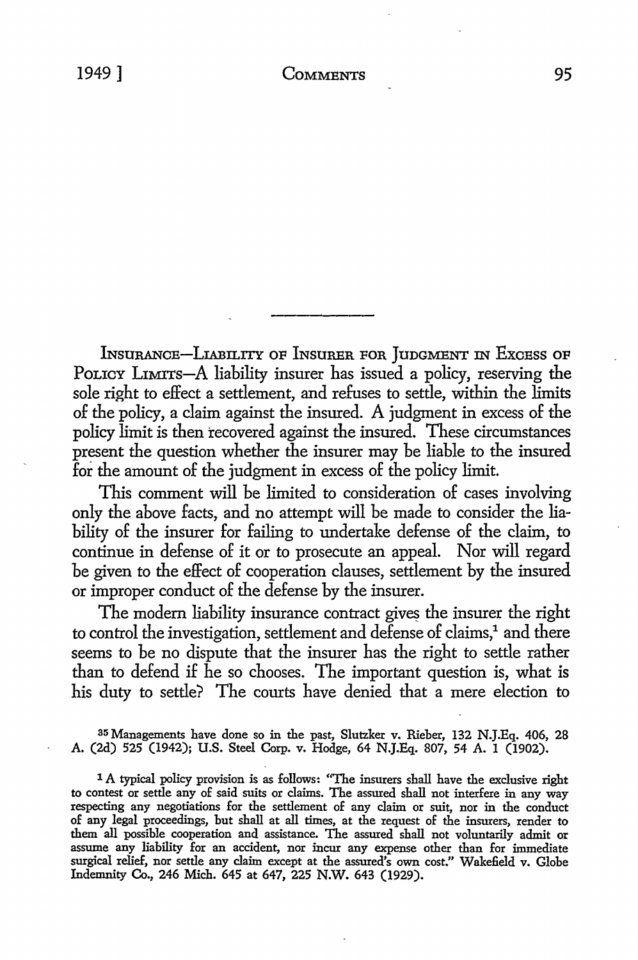INSURANCE-LIABILITY OF INSURER FOR JunGMENT IN ExcEss OF POLICY LIMITS-A liability insurer has issued a policy, reserving the sole right *to* effect a settlement, and refuses *to* settle, within the limits of the policy, a claim against the insured. A judgment in excess of the policy limit is then recovered against the insured. These circumstances present the question whether the insurer may be liable *to* the insured for the amount of the judgment in excess of the policy limit.

This comment will be limited *to* consideration of cases involving only the above facts, and no attempt will be made *to* consider the liability of the insurer for failing *to* undertake defense of the claim, *to*  continue in defense of it or *to* prosecute an appeal. Nor will regard be given *to* the effect of cooperation clauses, settlement by the insured or improper conduct of the defense by the insurer.

The modern liability insurance contract gives the insurer the right to control the investigation, settlement and defense of claims,<sup>1</sup> and there seems *to* be no dispute that the insurer has the right *to* settle rather than *to* defend if he so chooses. The important question is, what is his duty *to* settle? The courts have denied that a mere election *to* 

35 Managements have done so in the past, Slutzker v. Rieber, 132 N.J.Eq. 406, 28 A. (2d) 525 (1942); U.S. Steel Corp. v. Hodge, 64 N.J.Eq. 807, 54 A. I (1902).

1 A typical policy provision is as follows: "The insurers shall have the exclusive right to contest or settle any of said suits or claims. The assured shall not interfere in any way respecting any negotiations for the settlement of any claim or suit, nor in the conduct of any legal proceedings, but shall at all times, at the request of the insurers, render to them all possible cooperation and assistance. The assured shall not voluntarily admit or assume any liability for an accident, nor incur any expense other than for immediate surgical relief, nor settle any claim except at the assured's own cost." Wakefield v. Globe Indemnity Co., 246 Mich. 645 at 647, 225 N.W. 643 (1929).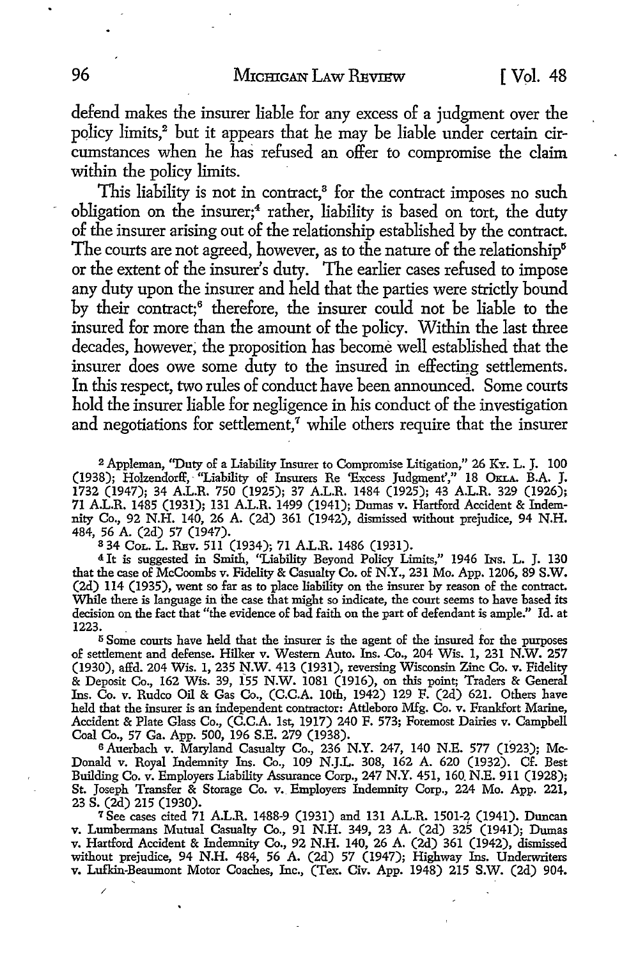defend makes the insurer liable for any excess of a judgment over the policy limits,<sup>2</sup> but it appears that he may be liable under certain circumstances when he has refused an offer to compromise the claim within the policy limits.

This liability is not in contract.<sup>8</sup> for the contract imposes no such obligation on the insurer;<sup>4</sup> rather, liability is based on tort, the duty of the insurer arising out of the relationship established by the contract. The courts are not agreed, however, as to the nature of the relationship<sup>5</sup> or the extent of the insurer's duty. The earlier cases refused to impose any duty upon the insurer and held that the parties were strictly bound by their contract;<sup>6</sup> therefore, the insurer could not be liable to the insured for more than the amount of the policy. Within the last three decades, however; the proposition has become well established that the insurer does owe some duty to the insured in effecting settlements. In this respect, two rules of conduct have been announced. Some courts hold the insurer liable for negligence in his conduct of the investigation and negotiations for settlement, $\tau$  while others require that the insurer

2 Appleman, ''Duty of a Liability Insurer to Compromise Litigation," 26 KY. L. J. 100 (1938); Holzendorff, · "Liability of Insurers Re 'Excess Judgment'," 18 OKLA. B.A. J. 1732 (1947); 34 A.L.R. 750 (1925); 37 A.L.R. 1484 (1925); 43 A.L.R. 329 (1926); 71 A.L.R. 1485 (1931); 131 A.L.R. 1499 (1941); Dumas v. Hartford Accident & Indemnity Co., 92 N.H. 140, 26 A. (2d) 361 (1942), dismissed without prejudice, 94 N.H. 484, 56 A. (2d) 57 (1947).

<sup>8</sup>34 CoL. L. RBv. 511 (1934); 71 A.L.R. 1486 (1931).

<sup>4</sup>It is suggested in Smith, "Liability Beyond Policy Limits," 1946 INs. L. J. 130 that the case of McCoombs v. Fidelity & Casualty Co. of N.Y., 231 Mo. App. 1206, 89 **S.W.**  (2d) 114 (1935), went so far as to place liability on the insurer by reason of the contract. While there is language in the case that might so indicate, the court seems to have based its decision on the fact that "the evidence of bad faith on the part of defendant is ample." Id. at 1223. .

<sup>5</sup> Some courts have held that the insurer is the agent of the insured for the purposes of settlement and defense. Hilker v. Western Auto. Ins. Co., 204 Wis. 1, 231 N.W. 257 (1930), affd. 204 Wis. 1, 235 N.W. 413 (1931), reversing Wisconsin Zinc Co. v. Fidelity & Deposit Co., 162 Wis. 39, 155 N.W. 1081 (1916), on this point; Traders & General Ins. Co. v. Rudco Oil & Gas Co., (C.C.A. 10th, 1942) 129 F. (2d) 621. Others have held that the insurer is an independent contractor: Attleboro Mfg. Co. v. Frankfort Marine, Accident & Plate Glass Co., (C.C.A. 1st, 1917) 240 F. 573; Foremost Dairies v. Campbell<br>Coal Co., 57 Ga. App. 500, 196 S.E. 279 (1938).

Coal Co., 57 Ga. App. 500, 196 S.E. 279 (1938).<br><sup>6</sup> Auerbach v. Maryland Casualty Co., 236 N.Y. 247, 140 N.E. 577 (1923); Mc-Donald v. Royal Indemnity Ins. Co., 109 N.J.L. 308, 162 A. 620 (1932). Cf. Best Building Co. v. Employers Liability Assurance Corp., 247 N.Y. 451, 160. N.E. 911 (1928); St. Joseph Transfer & Storage Co. v. Employers Indemnity Corp., 224 Mo. App. 221, 23 s. (2d) 215 (1930).

7 See cases cited 71 A.L.R. 1488-9 (1931) and 131 A.L.R. 1501-2 (1941). Duncan v. Lumbermans Mutual Casualty Co., 91 N.H. 349, 23 A. (2d) 325 (1941); Dumas v. Hartford Accident & Indemnity Co., 92 N.H. 140, 26 A. (2d) 361 (1942), dismissed without prejudice, 94 N.H. 484, 56 A. (2d) 57 (1947); Highway Ins. Underwriters v. Lufkin-Beaumont Motor Coaches, Inc., (Tex. Civ. App. 1948) 215 S.W. (2d) 904.

/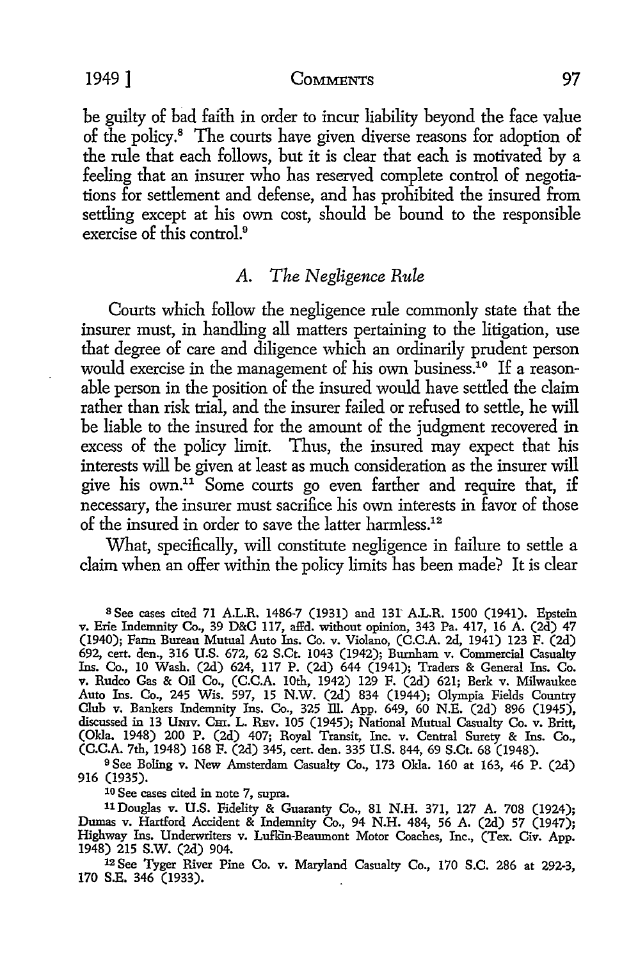be guilty of bad faith in order to incur liability beyond the face value of the policy.<sup>8</sup> The courts have given diverse reasons for adoption of the rule that each follows, but it is clear that each is motivated by a feeling that an insurer who has reserved complete control of negotiations for settlement and defense, and has prohibited the insured from settling except at his own cost, should be bound to the responsible exercise of this control.<sup>9</sup>

## A. *The Negligence Rule*

Courts which follow the negligence rule commonly state that the insurer must, in handling all matters pertaining to the litigation, use that degree of care and diligence which an ordinarily prudent person would exercise in the management of his own business.<sup>10</sup> If a reasonable person in the position of the insured would have settled the claim rather than risk trial, and the insurer failed or refused to settle, he will be liable to the insured for the amount of the judgment recovered in excess of the policy limit. Thus, the insured may expect that his interests will be given at least as much consideration as the insurer will give his own.11 Some courts go even farther and require that, if necessary, the insurer must sacrifice his own interests in favor of those of the insured in order to save the latter harmless.12

What, specifically, will constitute negligence in failure to settle a claim when an offer within the policy limits has been made? It is clear

<sup>8</sup> See cases cited 71 A.L.R. 1486-7 (1931) and 131 A.L.R. 1500 (1941). Epstein v. Erie Indemnity Co., 39 D&C 117, affd. without opinion, 343 Pa. 417, 16 A. (2d) 47 (1940); Farm Bureau Mutual Auto Ins. Co. v. Violano, (C.C.A. 2d, 1941) 123 F. (2d) 692, cert. den., 316 U.S. 672, 62 S.Ct. 1043 (1942); Burnham v. Commercial Casualty Ins. Co., 10 Wash. (2d) 624, 117 P. (2d) 644 (1941); Traders & General Ins. Co. v. Rudco Gas & Oil Co., (C.C.A. 10th, 1942) 129 F. (2d) 621; Berk v. Milwaukee Auto Ins. Co., 245 Wis. 597, 15 N.W. (2d) 834 (1944); Olympia Fields Country Club v. Bankers Indemnity Ins. Co., 325 ill. App. 649, 60 N.E. (2d) 896 (1945), discussed in 13 Umv. Cm. L. REv. 105 (1945); National Mutual Casualty Co. v. Britt, (Okla. 1948) 200 P. (2d) 407; Royal Transit, Inc. v. Central Surety & Ins. Co., (C.C.A. 7th, 1948) 168 F. (2d) 345, cert. den. 335 U.S. 844, 69 S.Ct. 68 (1948).

<sup>9</sup> See Boling v. New Amsterdam Casualty Co., 173 Okla. 160 at 163, 46 P. (2d) 916 (1935).

10 See cases cited in note 7, supra.

llDouglas v. U.S. Fidelity & Guaranty Co., 81 N.H. 371, 127 A. 708 (1924); Dumas v. Hartford Accident & Indemnity Co., 94 N.H. 484, 56 A. (2d) 57 (1947); Highway Ins. Underwriters v. Luffin-Beaumont Motor Coaches, Inc., (Tex. Civ. App. 1948) 215 s.w. (2d) 904.

12 See Tyger River Pine Co. v. Maryland Casualty Co., 170 S.C. 286 at 292-3, 170 S.E. 346 (1933).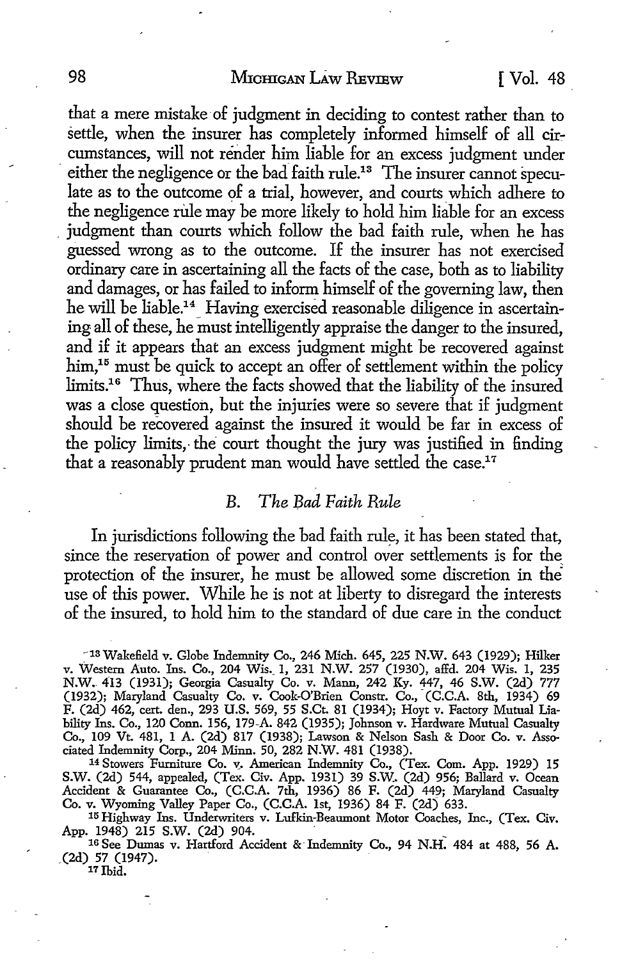that a mere mistake of judgment in deciding to contest rather than to settle, when the insurer has completely informed himself of all circumstances, will not render him liable for an excess judgment under either the negligence or the bad faith rule.13 The insurer cannot speculate as to the outcome of a trial, however, and courts which adhere to the negligence rule may be more likely to hold him liable for an excess judgment than courts which follow the bad faith rule, when he has guessed wrong as to the outcome. If the insurer has not exercised ordinary care in ascertaining all the facts of the case, both as to liability and damages, or has failed to inform himself of the governing law, then he will be liable.<sup>14</sup> Having exercised reasonable diligence in ascertaining all of these, he must intelligently appraise the danger to the insured, and if it appears that an excess judgment might be recovered against  $\lim,$ <sup>15</sup> must be quick to accept an offer of settlement within the policy limits.16 Thus, where the facts showed that the liability of the insured was a close question, but the injuries were so severe that if judgment should be recovered against the insured it would be far in excess of the policy limits, the court thought the jury was justified in finding that a reasonably prudent man would have settled the case.<sup>17</sup>

#### *B. The Bad Faith Rule*

In jurisdictions following the bad faith rule, it has been stated that, since the reservation of power and control over settlements is for the\_ protection of the insurer, he must be allowed some discretion in the use of this power. While he is not at liberty to disregard the interests of the insured, to hold him to the standard of due care in the conduct

-13 Wakefield *v.* Globe Indemnity Co., 246 Mich. 645, 225 N.W. 643 (1929); Hilker v. Western Auto. Ins. Co., 204 Wis.\_ I, 231 N.W. 257 (1930), affd. 204 Wis. I, 235 N.W. 413 (1931); Georgia Casualty Co. v. Mann, 242 Ky. 447, 46 S.W. (2d) 777 (1932); Maryland Casualty Co. v. Cook-O'Brien Constr. Co., (C.C.A. 8th, 1934) 69 F. (2d) 462, cert. den., 293 U.S. 569, 55 S.Ct. 81 (1934); Hoyt v. Factory Mutual Liability Ins. Co., 120 Conn. 156, 179-A. 842 (1935); Johnson v. Hardware Mutual Casualty Co., 109 Vt. 481, I A. (2d) 817 (1938); Lawson & Nelson Sash & Door Co. v. Associated Indemnity Corp., 204 Minn. 50, 282 N.W. 481 (1938).

<sup>14</sup> Stowers Furniture Co. v. American Indemnity Co., (Tex. Com. App. 1929) 15 S.W. (2d) 544, appealed, (Tex. Civ. App. 1931) 39 S.W. (2d) 956; Ballard v. Ocean Accident & Guarantee Co., (C.C.A. 7th, 1936) 86 F. (2d) 449; Maryland Casualty Co. v. Wyoming Valley Paper Co., (C.C.A. 1st, 1936) 84 F. (2d) 633.

15 Highway Ins. Underwriters v. Lufkin-Beaumont Motor Coaches, Inc., (Tex. Civ. App. 1948) 215 S.W. (2d) 904.

<sup>16</sup> See Dumas v. Hartford Accident & Indemnity Co., 94 N.H. 484 at 488, 56 A. . (2d) 57 (1947). 17 Ibid.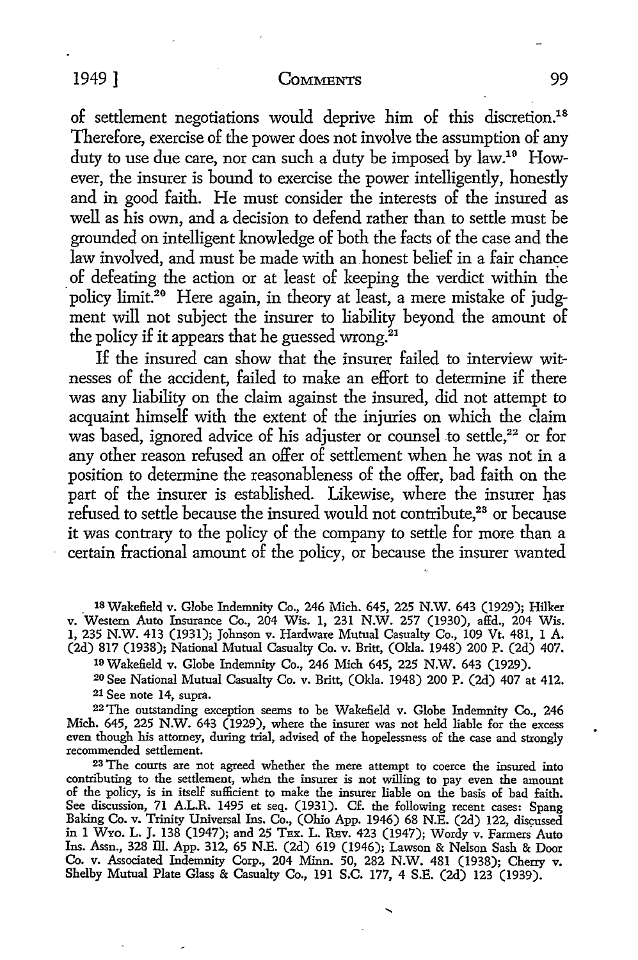#### 1949 ] COMMENTS 99

of settlement negotiations would deprive him of this discretion.18 Therefore, exercise of the power does not involve the assumption of any duty to use due care, nor can such a duty be imposed by law.19 However, the insurer is bound to exercise the power intelligently, honestly and in good faith. He must consider the interests of the insured as well as his own, and a. decision to defend rather than to settle must be grounded on intelligent knowledge of both the facts of the case and the law involved, and must be made with an honest belief in a fair chance \_ of defeating the action or at least of keeping the verdict within the policy limit.20 Here again, in theory at least, a mere mistake of judgment will not subject the insurer to liability beyond the amount of the policy if it appears that he guessed wrong. $21$ 

If the insured can show that the insurer failed to interview witnesses of the accident, failed to make an effort to determine if there was any liability on the claim against the insured, did not attempt to acquaint himself with the extent of the injuries on which the claim was based, ignored advice of his adjuster or counsel to settle,<sup>22</sup> or for any other reason refused an offer of settlement when he was not in a position to determine the reasonableness of the offer, bad faith on the part of the insurer is established. Likewise, where the insurer has refused to settle because the insured would not contribute,<sup>23</sup> or because it was contrary to the policy of the company to settle for more than a certain fractional amount of the policy, or because the insurer wanted

\_ 1s Wakefield v. Globe Indemnity Co., 246 Mich. 645, 225 N.W. 643 (1929); Hilker v. Western Auto Insurance Co., 204 Wis. 1, 231 N.W. 257 (1930), affd., 204 Wis. 1, 235 N.W. 413 (1931); Johnson v. Hardware Mutual Casualty Co., 109 Vt. 481, 1 A. (2d) 817 (1938); National Mutual Casualty Co. v. Britt, (Okla. 1948) 200 P. (2d) 407.

19 Wakefield v. Globe Indemnity Co., 246 Mich 645, 225 N.W. 643 (1929).

20 See National Mutual Casualty Co. v. Britt, (Okla. 1948) 200 P. (2d) 407 at 412. 21 See note 14, supra.

<sup>22</sup>The outstanding exception seems to be Wakefield v. Globe Indemnity Co., 246 Mich. 645, 225 N.W. 643 (1929), where the insurer was not held liable for the excess even though his attorney, during trial, advised of the hopelessness of the case and strongly recommended settlement.

<sup>23</sup>The courts are not agreed whether the mere attempt to coerce the insured into contributing to the settlement, when the insurer is not willing to pay even the amount of the policy, is in itself sufficient to make the insurer liable on the basis of bad faith. See discussion, 71 A.L.R. 1495 et seq. (1931). Cf. the following recent cases: Spang Baking Co. v. Trinity Universal Ins. Co., (Ohio App. 1946) 68 N.E. (2d) 122, discussed<br>in 1 Wyo. L. J. 138 (1947); and 25 TEx. L. REv. 423 (1947); Wordy v. Farmers Auto Ins. Assn., 328 Ill. App. 312, 65 N.E. (2d) 619 (1946); Lawson & Nelson Sash & Door Co. v. Associated Indemnity Corp., 204 Minn. 50, 282 N.W. 481 (1938); Cherry v. Shelby Mutual Plate Glass & Casualty Co., 191 S.C. 177, 4 S.E. (2d) 123 (1939).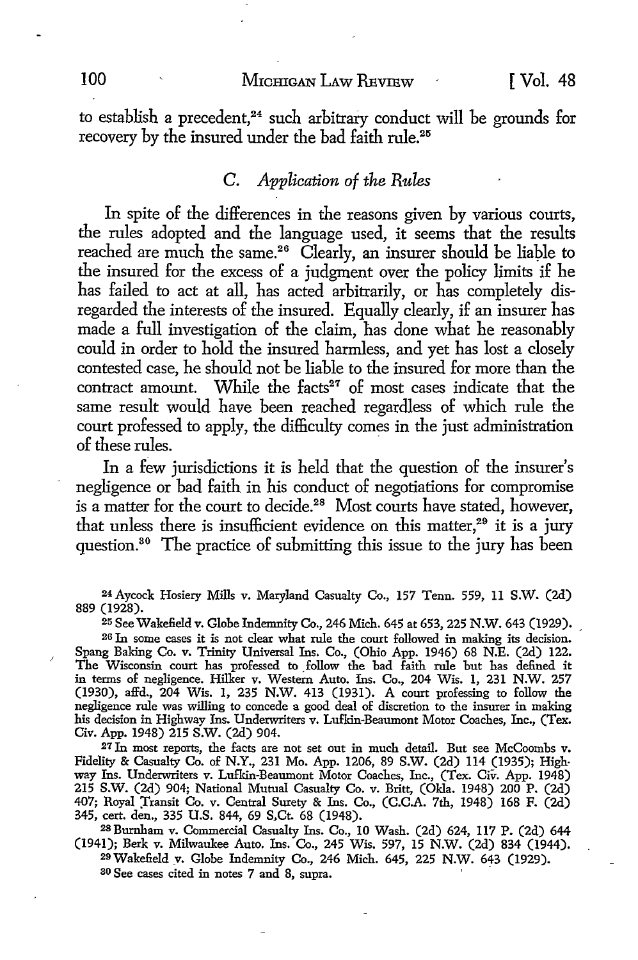#### 100 MICHIGAN LAW REVIEW [ Vol. 48

to establish a precedent, $24$  such arbitrary conduct will be grounds for recovery by the insured under the bad faith rule.<sup>25</sup>

## C. *Application of the Rules*

In spite of the differences in the reasons given by various courts, the rules adopted and the language used, it seems that the results reached are much the same.<sup>26</sup> Clearly, an insurer should be liable to the insured for the excess of a judgment over the policy limits if he has failed to act at all, has acted arbitrarily, or has completely disregarded the interests of the insured. Equally clearly, if an insurer has made a full investigation of the claim, has done what he reasonably could in order to hold the insured harmless, and yet has lost a closely contested case, he should not be liable to the insured for more than the contract amount. While the facts $27$  of most cases indicate that the same result would have been reached regardless of which rule the court professed to apply, the difficulty comes in the just administration of these rules.

In a few jurisdictions it is held that the question of the insurer's negligence or bad faith in his conduct of negotiations for compromise is a matter for the court to decide.<sup>28</sup> Most courts have stated, however, that unless there is insufficient evidence on this matter,<sup>29</sup> it is a jury question.30 The practice of submitting this issue to the jury has been

24 Aycock Hosiery Mills v. Maryland Casualty Co., 157 Tenn. 559, 11 S.W. (2d) 889 (1928).

25 See Wakefield v. Globe Indemnity Co., 246 Mich. 645 at 653, 225 N.W. 643 (1929). ,

26 In some cases it is not clear what rule the court followed in making its decision. Spang Baking Co. v. Trinity Universal Ins. Co., (Ohio App. 1946) 68 N.E. (2d) 122. The Wisconsin court has professed to follow the bad faith rule but has defined it in terms of negligence. Hilker v. Western Auto. Ins. Co., 204 Wis. 1, 231 N.W. 257 (1930), affd., 204 Wis. 1, 235 N.W. 413 (1931). A court professing to follow the negligence rule was willing to concede a good deal of discretion to the insurer in making his decision in Highway Ins. Underwriters v. Lufkin-Beaumont Motor Coaches, Inc., (Tex. Civ. App. 1948) 215 S.W. (2d) 904.

27 In most reports, the facts are not set out in much detail. But see McCoombs v. Fidelity & Casualty Co. of N.Y., 231 Mo. App. 1206, 89 S.W. (2d) 114 (1935); Highway Ins. Underwriters v. Lufkin-Beaumont Motor Coaches, Inc., (Tex. Civ. App. 1948) 215 S.W. (2d) 904; National Mutual Casualty Co. v. Britt, (Okla. 1948) 200 P. (2d) 407; Royal Transit Co. v. Central Surety & Ins. Co., (C.C.A. 7th, 1948) 168 F. (2d) 345, cert. den., 335 U.S. 844, 69 S,Ct. 68 (1948).

<sup>28</sup> Burnham v. Commercial Casualty Ins. Co., 10 Wash. (2d) 624, 117 P. (2d) 644 (1941); Berk v. Milwaukee Auto. Ins. Co., 245 Wis. 597, 15 N.W. (2d) 834 (1944).

29Wakefield \_v. Globe Indemnity Co., 246 Mich. 645, 225 N.W. 643 (1929). ao See cases cited in notes 7 and 8, supra.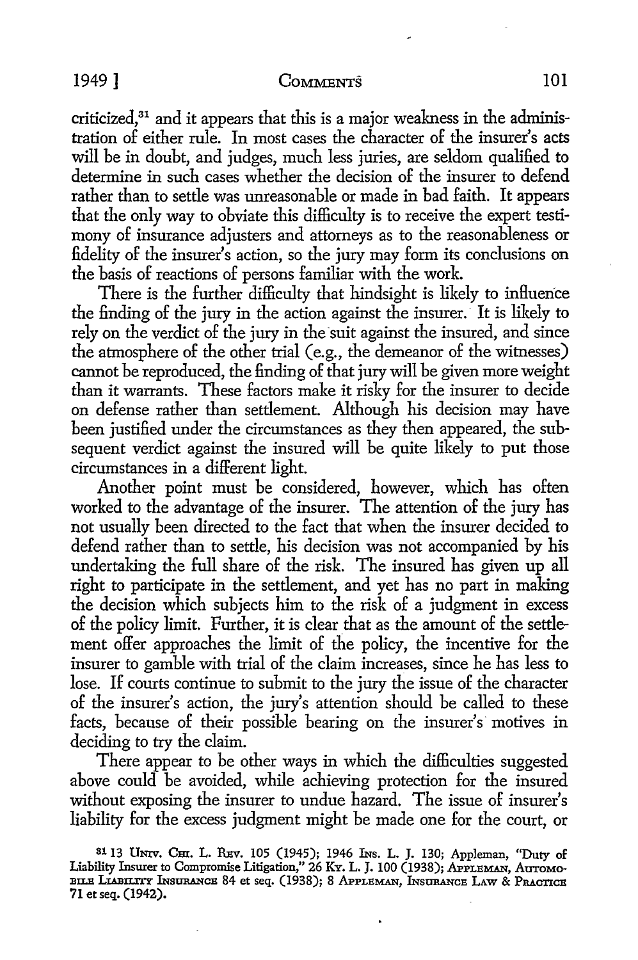#### 1949 ] COMMENTS 101

criticized,<sup>31</sup> and it appears that this is a major weakness in the administration of either rule. In most cases the character of the insurer's acts will be in doubt, and judges, much less juries, are seldom qualified to determine in such cases whether the decision of the insurer to defend rather than *to* settle was unreasonable or made in bad faith. It appears that the only way to obviate this difficulty is to receive the expert testimony of insurance adjusters and attorneys as to the reasonableness or fidelity of the insurer's action, so the jury may form its conclusions on the basis of reactions of persons familiar with the work.

There is the further difficulty that hindsight is likely to influence the finding of the jury in the action against the insurer. It is likely to rely on the verdict of the jury in the suit against the insured, and since the atmosphere of the other trial (e.g., the demeanor of the witnesses) cannot be reproduced, the finding of that jury will be given more weight than it warrants. These factors make it risky for the insurer to decide on defense rather than settlement. Although his decision may have been justified under the circumstances as they then appeared, the subsequent verdict against the insured will be quite likely to put those circumstances in a different light.

Another point must be considered, however, which has often worked to the advantage of the insurer. The attention of the jury has not usually been directed to the fact that when the insurer decided to defend rather than to settle, his decision was not accompanied by his undertaking the full share of the risk. The insured has given up all right to participate in the settlement, and yet has no part in making the decision which subjects him to the risk of a judgment in excess of the policy limit. Further, it is clear that as the amount of the settlement offer approaches the limit of the policy, the incentive for the insurer to gamble with trial of the claim increases, since he has less to lose. If courts continue to submit to the jury the issue of the character of the insurer's action, the jury's attention should be called to these facts, because of their possible bearing on the insurer's motives in deciding to try the claim.

There appear to be other ways in which the difficulties suggested above could be avoided, while achieving protection for the insured without exposing the insurer to undue hazard. The issue of insurer's liability for the excess judgment might be made one for the court, or

s113 Umv. Cm. L. REv. 105 (1945); 1946 INs. L. J. 130; Appleman, "Duty of Liability Insurer to Compromise Litigation," 26 Ky. L. J. 100 (1938); APPLEMAN, AUTOMO-BILE LIABILITY INSURANCE 84 et seq. (1938); 8 APPLEMAN, INSURANCE LAW & PRACTICE 71 et seq. (1942).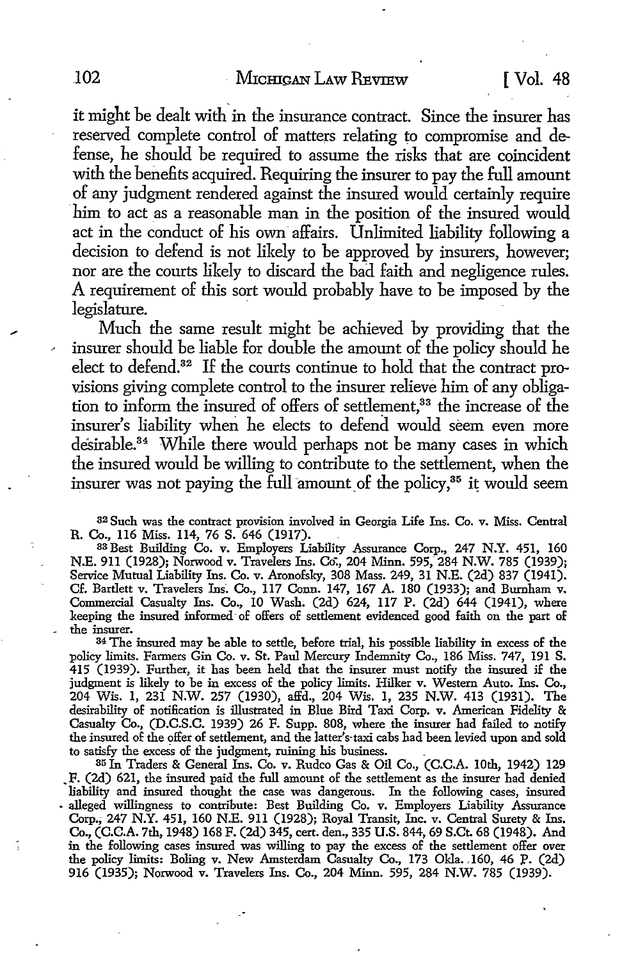it might be dealt with in the insurance contract. Since the insurer has reserved complete control of matters relating to compromise and defense, he should be required *to* assume the risks that are coincident with the benefits acquired. Requiring the insurer *to* pay the full amount of any judgment rendered against the insured would certainly require him to act as a reasonable man in the position of the insured would act in the conduct of his own affairs. Unlimited liability following a decision *to* defend is not likely *to* be approved by insurers, however; nor are the courts likely *to* discard the bad faith and negligence rules. A requirement of this sort would probably have *to* be imposed by the legislature.

Much the same result might be achieved by providing that the insurer should be liable for double the amount of the policy should he elect *to* defend.32 If the courts continue *to* hold that the contract provisions giving complete control to the insurer relieve him of any obligation to inform the insured of offers of settlement,<sup>33</sup> the increase of the insurer's liability when he elects *to* defend would seem even more desirable.<sup>34</sup> While there would perhaps not be many cases in which the insured would be willing to contribute to the settlement, when the insurer was not paying the full amount of the policy, $35$  it would seem

<sup>3</sup><sup>2</sup>Such was the contract provision involved in Georgia Life Ins. Co. v. Miss. Central R. Co., 116 Miss. 114, 76 S. 646 (1917).

33 Best Building Co. v. Employers Liability Assurance Corp., 247 N.Y. 451, 160 N.E. 911 (1928); Norwood v. Travelers Ins. Co:, 204 Minn. 595, 284 N.W. 785 (1939); Service Mutual Liability Ins. Co. v. Aronofsky, 308 Mass. 249, 31 N.E. (2d) 837 (1941). Cf. Bartlett v. Travelers Ins. Co., 117 Conn. 147, 167 A. 180 (1933); and Burnham v. Commercial Casualty Ins. Co., IO Wash. (2d) 624, 117 P. (2d) 644 (1941), where keeping the insured informed of offers of settlement evidenced good faith on the part of the insurer.

<sup>34</sup>The insured may be able to settle, before trial, his possible liability in excess of the policy limits. Farmers Gin Co. v. St. Paul Mercury Indemnity Co., 186 Miss. 747, 191 S. 415 (1939). Further, it has been held that the insurer must notify the insured if the judgment is likely to be in excess of the policy limits. Hilker v. Western Auto. Ins. Co., 204 Wis. 1, 231 N.W. 257 (1930), affd., 204 Wis. 1, 235 N.W. 413 (1931). The desirability of notification is illustrated in Blue Bird Taxi Corp. v. American Fidelity & Casualty Co., (D.C.S.C. 1939) 26 F. Supp. 808, where the insurer had failed to notify the insured of the offer of settlement, and the latter's-taxi cabs had been levied upon and sold to satisfy the excess of the judgment, ruining his business. .

35 In Traders & General Ins. Co. v. Rudco Gas & Oil Co., (C.C.A. 10th, 1942) 129 • F. (2d) 621, the insured paid the full amount of the settlement as the insurer had denied liability and insured thought the case was dangerous. In the following cases, insured • alleged willingness to contribute: Best Building Co. v. Employers Liability Assurance Corp.; 247 N.Y. 451, 160 N.E. 911 (1928); Royal Transit, Inc. v. Central Surety & Ins. Co., (C.C.A. 7th, 1948) 168 F. (2d) 345, cert. den., 335 U.S. 844, 69 S.Ct. 68 (1948). And in the following cases insured was willing to pay the excess of the settlement offer over the policy limits: Boling v. New Amsterdam Casualty Co., 173 Okla. 160, 46 P. (2d) 916 (1935); Norwood v. Travelers Ins. Co., 204 Minn. 595, 284 N.W. 785 (1939).